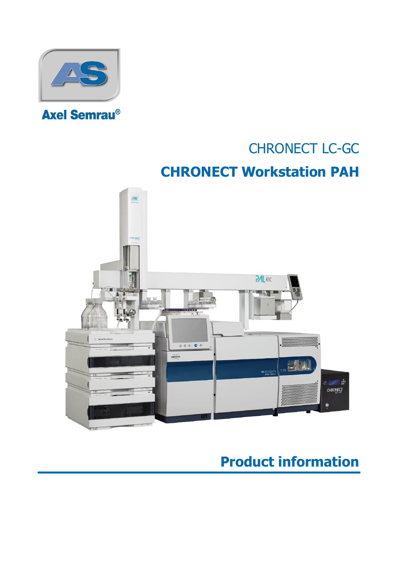

# CHRONECT LC-GC

# **CHRONECT Workstation PAH**



## **Product information**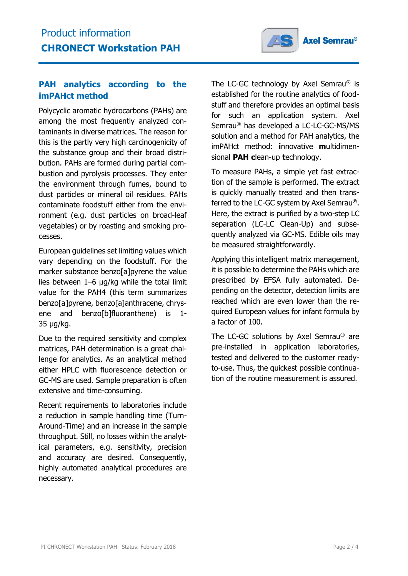

### **PAH analytics according to the imPAHct method**

Polycyclic aromatic hydrocarbons (PAHs) are among the most frequently analyzed contaminants in diverse matrices. The reason for this is the partly very high carcinogenicity of the substance group and their broad distribution. PAHs are formed during partial combustion and pyrolysis processes. They enter the environment through fumes, bound to dust particles or mineral oil residues. PAHs contaminate foodstuff either from the environment (e.g. dust particles on broad-leaf vegetables) or by roasting and smoking processes.

European guidelines set limiting values which vary depending on the foodstuff. For the marker substance benzo[a]pyrene the value lies between 1–6 µg/kg while the total limit value for the PAH4 (this term summarizes benzo[a]pyrene, benzo[a]anthracene, chrysene and benzo[b]fluoranthene) is 1- 35 µg/kg.

Due to the required sensitivity and complex matrices, PAH determination is a great challenge for analytics. As an analytical method either HPLC with fluorescence detection or GC-MS are used. Sample preparation is often extensive and time-consuming.

Recent requirements to laboratories include a reduction in sample handling time (Turn-Around-Time) and an increase in the sample throughput. Still, no losses within the analytical parameters, e.g. sensitivity, precision and accuracy are desired. Consequently, highly automated analytical procedures are necessary.

The LC-GC technology by Axel Semrau® is established for the routine analytics of foodstuff and therefore provides an optimal basis for such an application system. Axel Semrau® has developed a LC-LC-GC-MS/MS solution and a method for PAH analytics, the imPAHct method: **i**nnovative **m**ultidimensional **PAH c**lean-up **t**echnology.

To measure PAHs, a simple yet fast extraction of the sample is performed. The extract is quickly manually treated and then transferred to the LC-GC system by Axel Semrau®. Here, the extract is purified by a two-step LC separation (LC-LC Clean-Up) and subsequently analyzed via GC-MS. Edible oils may be measured straightforwardly.

Applying this intelligent matrix management, it is possible to determine the PAHs which are prescribed by EFSA fully automated. Depending on the detector, detection limits are reached which are even lower than the required European values for infant formula by a factor of 100.

The LC-GC solutions by Axel Semrau® are pre-installed in application laboratories, tested and delivered to the customer readyto-use. Thus, the quickest possible continuation of the routine measurement is assured.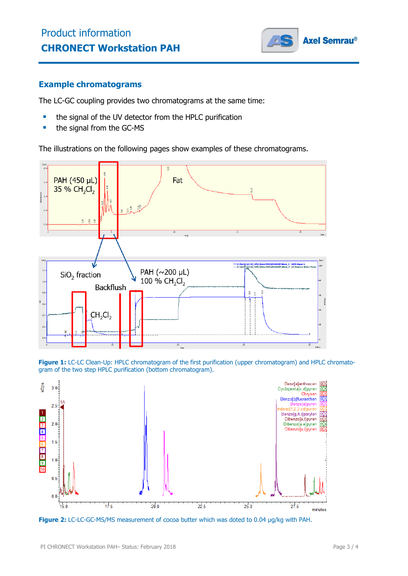

#### **Example chromatograms**

The LC-GC coupling provides two chromatograms at the same time:

- **the signal of the UV detector from the HPLC purification**
- the signal from the GC-MS

The illustrations on the following pages show examples of these chromatograms.



**Figure 1:** LC-LC Clean-Up: HPLC chromatogram of the first purification (upper chromatogram) and HPLC chromatogram of the two step HPLC purification (bottom chromatogram).



**Figure 2:** LC-LC-GC-MS/MS measurement of cocoa butter which was doted to 0.04 µg/kg with PAH.